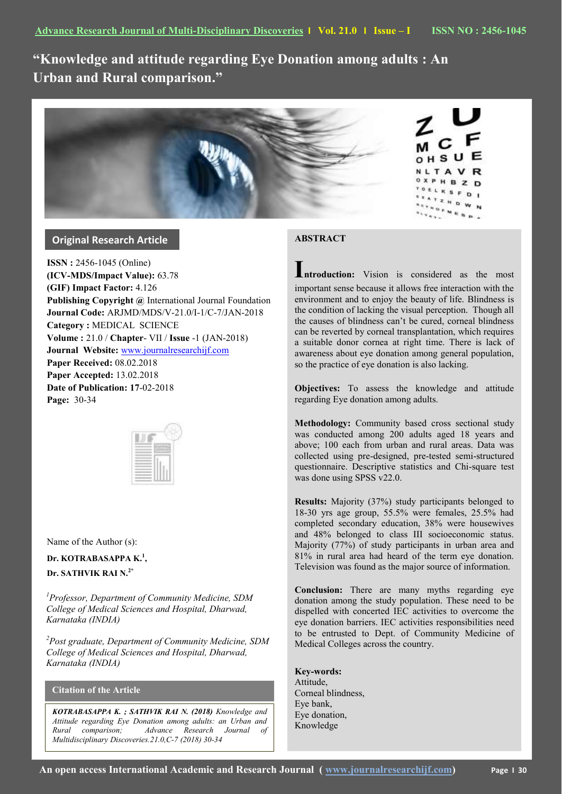**"Knowledge and attitude regarding Eye Donation among adults : An Urban and Rural comparison."**



# **Original Research Article**

**ISSN :** 2456-1045 (Online) **(ICV-MDS/Impact Value):** 63.78 **(GIF) Impact Factor:** 4.126 **Publishing Copyright @** International Journal Foundation **Journal Code:** ARJMD/MDS/V-21.0/I-1/C-7/JAN-2018 **Category :** MEDICAL SCIENCE **Volume :** 21.0 / **Chapter**- VII / **Issue** -1 (JAN-2018) **Journal Website:** [www.journalresearchijf.com](http://www.journalresearchijf.com/) **Paper Received:** 08.02.2018 **Paper Accepted:** 13.02.2018 **Date of Publication: 17**-02-2018 **Page:** 30-34



Name of the Author (s):

# **Dr. KOTRABASAPPA K.<sup>1</sup> ,**

**Dr. SATHVIK RAI N.2\***

*<sup>1</sup>Professor, Department of Community Medicine, SDM College of Medical Sciences and Hospital, Dharwad, Karnataka (INDIA)*

*<sup>2</sup>Post graduate, Department of Community Medicine, SDM College of Medical Sciences and Hospital, Dharwad, Karnataka (INDIA)*

# **Citation of the Article**

*KOTRABASAPPA K. ; SATHVIK RAI N. (2018) Knowledge and Attitude regarding Eye Donation among adults: an Urban and Rural comparison; Advance Research Journal of Multidisciplinary Discoveries.21.0,C-7 (2018) 30-34*

# **ABSTRACT**

**Introduction:** Vision is considered as the most important sense because it allows free interaction with the environment and to enjoy the beauty of life. Blindness is the condition of lacking the visual perception. Though all the causes of blindness can't be cured, corneal blindness can be reverted by corneal transplantation, which requires a suitable donor cornea at right time. There is lack of awareness about eye donation among general population, so the practice of eye donation is also lacking.

**Objectives:** To assess the knowledge and attitude regarding Eye donation among adults.

**Methodology:** Community based cross sectional study was conducted among 200 adults aged 18 years and above; 100 each from urban and rural areas. Data was collected using pre-designed, pre-tested semi-structured questionnaire. Descriptive statistics and Chi-square test was done using SPSS v22.0.

**Results:** Majority (37%) study participants belonged to 18-30 yrs age group, 55.5% were females, 25.5% had completed secondary education, 38% were housewives and 48% belonged to class III socioeconomic status. Majority (77%) of study participants in urban area and 81% in rural area had heard of the term eye donation. Television was found as the major source of information.

**Conclusion:** There are many myths regarding eye donation among the study population. These need to be dispelled with concerted IEC activities to overcome the eye donation barriers. IEC activities responsibilities need to be entrusted to Dept. of Community Medicine of Medical Colleges across the country.

**Key-words:** Attitude, Corneal blindness, Eye bank, Eye donation, Knowledge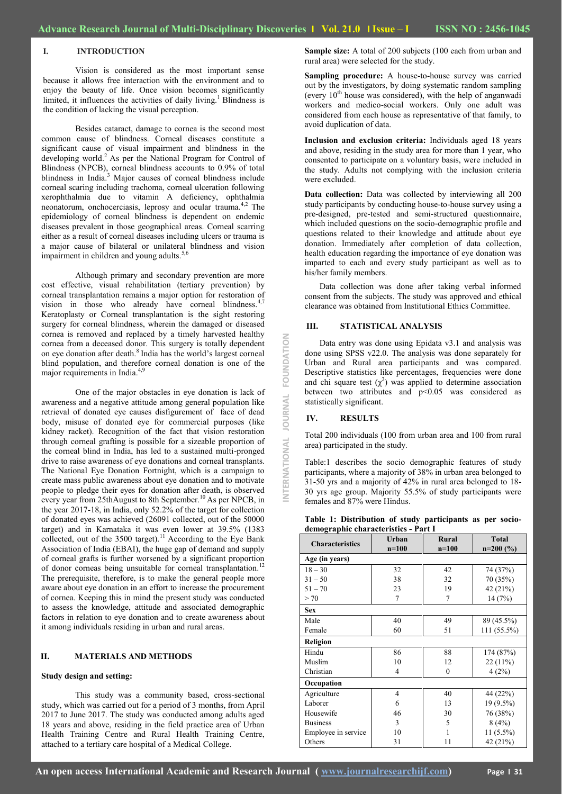### **I. INTRODUCTION**

Vision is considered as the most important sense because it allows free interaction with the environment and to enjoy the beauty of life. Once vision becomes significantly limited, it influences the activities of daily living.<sup>1</sup> Blindness is the condition of lacking the visual perception.

Besides cataract, damage to cornea is the second most common cause of blindness. Corneal diseases constitute a significant cause of visual impairment and blindness in the developing world.<sup>2</sup> As per the National Program for Control of Blindness (NPCB), corneal blindness accounts to 0.9% of total blindness in India.<sup>3</sup> Major causes of corneal blindness include corneal scaring including trachoma, corneal ulceration following xerophthalmia due to vitamin A deficiency, ophthalmia neonatorum, onchocerciasis, leprosy and ocular trauma.<sup>4,2</sup> The epidemiology of corneal blindness is dependent on endemic diseases prevalent in those geographical areas. Corneal scarring either as a result of corneal diseases including ulcers or trauma is a major cause of bilateral or unilateral blindness and vision impairment in children and young adults.<sup>5,6</sup>

Although primary and secondary prevention are more cost effective, visual rehabilitation (tertiary prevention) by corneal transplantation remains a major option for restoration of vision in those who already have corneal blindness.<sup>4,7</sup> Keratoplasty or Corneal transplantation is the sight restoring surgery for corneal blindness, wherein the damaged or diseased cornea is removed and replaced by a timely harvested healthy cornea from a deceased donor. This surgery is totally dependent on eye donation after death.<sup>8</sup> India has the world's largest corneal blind population, and therefore corneal donation is one of the major requirements in India. $4$ ,9

One of the major obstacles in eye donation is lack of awareness and a negative attitude among general population like retrieval of donated eye causes disfigurement of face of dead body, misuse of donated eye for commercial purposes (like kidney racket). Recognition of the fact that vision restoration through corneal grafting is possible for a sizeable proportion of the corneal blind in India, has led to a sustained multi-pronged drive to raise awareness of eye donations and corneal transplants. The National Eye Donation Fortnight, which is a campaign to create mass public awareness about eye donation and to motivate people to pledge their eyes for donation after death, is observed every year from 25thAugust to 8th September.<sup>10</sup> As per NPCB, in the year 2017-18, in India, only 52.2% of the target for collection of donated eyes was achieved (26091 collected, out of the 50000 target) and in Karnataka it was even lower at 39.5% (1383 collected, out of the 3500 target).<sup>11</sup> According to the Eye Bank Association of India (EBAI), the huge gap of demand and supply of corneal grafts is further worsened by a significant proportion of donor corneas being unsuitable for corneal transplantation.<sup>1</sup> The prerequisite, therefore, is to make the general people more aware about eye donation in an effort to increase the procurement of cornea. Keeping this in mind the present study was conducted to assess the knowledge, attitude and associated demographic factors in relation to eye donation and to create awareness about it among individuals residing in urban and rural areas.

#### **II. MATERIALS AND METHODS**

#### **Study design and setting:**

This study was a community based, cross-sectional study, which was carried out for a period of 3 months, from April 2017 to June 2017. The study was conducted among adults aged 18 years and above, residing in the field practice area of Urban Health Training Centre and Rural Health Training Centre, attached to a tertiary care hospital of a Medical College.

**Sample size:** A total of 200 subjects (100 each from urban and rural area) were selected for the study.

**Sampling procedure:** A house-to-house survey was carried out by the investigators, by doing systematic random sampling (every  $10<sup>th</sup>$  house was considered), with the help of anganwadi workers and medico-social workers. Only one adult was considered from each house as representative of that family, to avoid duplication of data.

**Inclusion and exclusion criteria:** Individuals aged 18 years and above, residing in the study area for more than 1 year, who consented to participate on a voluntary basis, were included in the study. Adults not complying with the inclusion criteria were excluded.

Data collection: Data was collected by interviewing all 200 study participants by conducting house-to-house survey using a pre-designed, pre-tested and semi-structured questionnaire, which included questions on the socio-demographic profile and questions related to their knowledge and attitude about eye donation. Immediately after completion of data collection, health education regarding the importance of eye donation was imparted to each and every study participant as well as to his/her family members.

 Data collection was done after taking verbal informed consent from the subjects. The study was approved and ethical clearance was obtained from Institutional Ethics Committee.

## **III. STATISTICAL ANALYSIS**

 Data entry was done using Epidata v3.1 and analysis was done using SPSS v22.0. The analysis was done separately for Urban and Rural area participants and was compared. Descriptive statistics like percentages, frequencies were done and chi square test  $(\chi^2)$  was applied to determine association between two attributes and p<0.05 was considered as statistically significant.

#### **IV. RESULTS**

**INTERNATIONAL JOURNAL FOUNDATION**

NTERNATIONAL JOURNAL FOUNDATION

Total 200 individuals (100 from urban area and 100 from rural area) participated in the study.

Table:1 describes the socio demographic features of study participants, where a majority of 38% in urban area belonged to 31-50 yrs and a majority of 42% in rural area belonged to 18- 30 yrs age group. Majority 55.5% of study participants were females and 87% were Hindus.

| Table 1: Distribution of study participants as per socio- |  |  |  |
|-----------------------------------------------------------|--|--|--|
| demographic characteristics - Part I                      |  |  |  |

| <b>Characteristics</b> | Urban<br>$n=100$ | Rural<br>$n=100$ | <b>Total</b><br>$n=200(%)$ |
|------------------------|------------------|------------------|----------------------------|
| Age (in years)         |                  |                  |                            |
| $18 - 30$              | 32               | 42               | 74 (37%)                   |
| $31 - 50$              | 38               | 32               | 70 (35%)                   |
| $51 - 70$              | 23               | 19               | 42 (21%)                   |
| > 70                   | $\overline{7}$   | 7                | 14(7%)                     |
| <b>Sex</b>             |                  |                  |                            |
| Male                   | 40               | 49               | 89 (45.5%)                 |
| Female                 | 60               | 51               | 111 (55.5%)                |
| Religion               |                  |                  |                            |
| Hindu                  | 86               | 88               | 174 (87%)                  |
| Muslim                 | 10               | 12               | 22(11%)                    |
| Christian              | 4                | $\theta$         | 4(2%)                      |
| Occupation             |                  |                  |                            |
| Agriculture            | 4                | 40               | 44 (22%)                   |
| Laborer                | 6                | 13               | 19 (9.5%)                  |
| Housewife              | 46               | 30               | 76 (38%)                   |
| <b>Business</b>        | 3                | 5                | 8(4%)                      |
| Employee in service    | 10               | 1                | $11(5.5\%)$                |
| Others                 | 31               | 11               | 42 (21%)                   |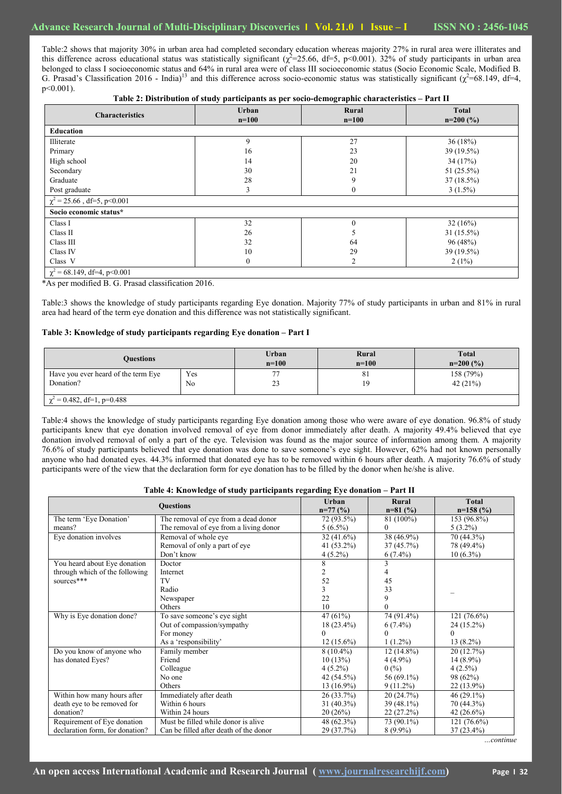Table:2 shows that majority 30% in urban area had completed secondary education whereas majority 27% in rural area were illiterates and this difference across educational status was statistically significant  $(\chi^2=25.66, d=5, p<0.001)$ . 32% of study participants in urban area belonged to class I socioeconomic status and 64% in rural area were of class III socioeconomic status (Socio Economic Scale, Modified B. G. Prasad's Classification 2016 - India)<sup>13</sup> and this difference across socio-economic status was statistically significant ( $\chi^2$ =68.149, df=4, p<0.001).

**Table 2: Distribution of study participants as per socio-demographic characteristics – Part II**

| <b>Characteristics</b>           | Urban<br>Rural<br>$n=100$<br>$n=100$ |          | <b>Total</b><br>$n=200(%)$ |  |
|----------------------------------|--------------------------------------|----------|----------------------------|--|
| Education                        |                                      |          |                            |  |
| Illiterate                       | 9                                    | 27       | 36(18%)                    |  |
| Primary                          | 16                                   | 23       | 39 (19.5%)                 |  |
| High school                      | 14                                   | 20       | 34(17%)                    |  |
| Secondary                        | 30                                   | 21       | 51 (25.5%)                 |  |
| Graduate                         | 28                                   | 9        | $37(18.5\%)$               |  |
| Post graduate                    | 3                                    | $\theta$ | $3(1.5\%)$                 |  |
| $\chi^2$ = 25.66, df=5, p<0.001  |                                      |          |                            |  |
| Socio economic status*           |                                      |          |                            |  |
| Class I                          | 32                                   | $\Omega$ | 32(16%)                    |  |
| Class II                         | 26                                   | ∋        | 31 (15.5%)                 |  |
| Class III                        | 32                                   | 64       | 96(48%)                    |  |
| Class IV                         | 10                                   | 29       | 39 (19.5%)                 |  |
| Class V                          | $\boldsymbol{0}$                     | 2        | $2(1\%)$                   |  |
| $\chi^2$ = 68.149, df=4, p<0.001 |                                      |          |                            |  |

\*As per modified B. G. Prasad classification 2016.

Table:3 shows the knowledge of study participants regarding Eye donation. Majority 77% of study participants in urban and 81% in rural area had heard of the term eye donation and this difference was not statistically significant.

### **Table 3: Knowledge of study participants regarding Eye donation – Part I**

| <b>Ouestions</b>                    |                | Urban   | Rural   | <b>Total</b> |  |
|-------------------------------------|----------------|---------|---------|--------------|--|
|                                     |                | $n=100$ | $n=100$ | $n=200(%)$   |  |
| Have you ever heard of the term Eye | Yes            | 77      | 81      | 158 (79%)    |  |
| Donation?                           | N <sub>0</sub> | 23      | 19      | 42 $(21\%)$  |  |
| $\chi^2$ = 0.482, df=1, p=0.488     |                |         |         |              |  |

Table:4 shows the knowledge of study participants regarding Eye donation among those who were aware of eye donation. 96.8% of study participants knew that eye donation involved removal of eye from donor immediately after death. A majority 49.4% believed that eye donation involved removal of only a part of the eye. Television was found as the major source of information among them. A majority 76.6% of study participants believed that eye donation was done to save someone's eye sight. However, 62% had not known personally anyone who had donated eyes. 44.3% informed that donated eye has to be removed within 6 hours after death. A majority 76.6% of study participants were of the view that the declaration form for eye donation has to be filled by the donor when he/she is alive.

|  | Table 4: Knowledge of study participants regarding Eye donation - Part II |  |  |  |  |
|--|---------------------------------------------------------------------------|--|--|--|--|
|  |                                                                           |  |  |  |  |

|                                 | <b>Questions</b>                       | <b>Urban</b><br>$n=77($ %) | Rural<br>$n=81$ (%) | Total<br>$n=158$ (%) |
|---------------------------------|----------------------------------------|----------------------------|---------------------|----------------------|
| The term 'Eye Donation'         | The removal of eye from a dead donor   | 72 (93.5%)                 | 81 (100%)           | 153 (96.8%)          |
| means?                          | The removal of eye from a living donor | $5(6.5\%)$                 | $\bf{0}$            | $5(3.2\%)$           |
| Eye donation involves           | Removal of whole eye                   | $32(41.6\%)$               | 38 (46.9%)          | 70 (44.3%)           |
|                                 | Removal of only a part of eye          | 41 $(53.2\%)$              | 37(45.7%)           | 78 (49.4%)           |
|                                 | Don't know                             | $4(5.2\%)$                 | $6(7.4\%)$          | $10(6.3\%)$          |
| You heard about Eye donation    | Doctor                                 | 8                          | 3                   |                      |
| through which of the following  | Internet                               | $\overline{2}$             | 4                   |                      |
| sources***                      | TV                                     | 52                         | 45                  |                      |
|                                 | Radio                                  | 3                          | 33                  |                      |
|                                 | Newspaper                              | 22                         | 9                   |                      |
|                                 | Others                                 | 10                         | $\Omega$            |                      |
| Why is Eye donation done?       | To save someone's eye sight            | 47(61%)                    | 74 (91.4%)          | 121 (76.6%)          |
|                                 | Out of compassion/sympathy             | $18(23.4\%)$               | $6(7.4\%)$          | $24(15.2\%)$         |
|                                 | For money                              | $\theta$                   | $\Omega$            |                      |
|                                 | As a 'responsibility'                  | $12(15.6\%)$               | $1(1.2\%)$          | $13(8.2\%)$          |
| Do you know of anyone who       | Family member                          | $8(10.4\%)$                | $12(14.8\%)$        | 20 (12.7%)           |
| has donated Eyes?               | Friend                                 | 10(13%)                    | $4(4.9\%)$          | $14(8.9\%)$          |
|                                 | Colleague                              | $4(5.2\%)$                 | 0(%)                | $4(2.5\%)$           |
|                                 | No one                                 | 42 (54.5%)                 | 56 $(69.1\%)$       | 98 (62%)             |
|                                 | Others                                 | $13(16.9\%)$               | $9(11.2\%)$         | $22(13.9\%)$         |
| Within how many hours after     | Immediately after death                | 26(33.7%)                  | 20(24.7%)           | $46(29.1\%)$         |
| death eye to be removed for     | Within 6 hours                         | $31(40.3\%)$               | $39(48.1\%)$        | 70 (44.3%)           |
| donation?                       | Within 24 hours                        | 20(26%)                    | $22(27.2\%)$        | 42 $(26.6\%)$        |
| Requirement of Eye donation     | Must be filled while donor is alive    | 48 (62.3%)                 | 73 (90.1%)          | $121(76.6\%)$        |
| declaration form, for donation? | Can be filled after death of the donor | 29 (37.7%)                 | $8(9.9\%)$          | $37(23.4\%)$         |

*…continue*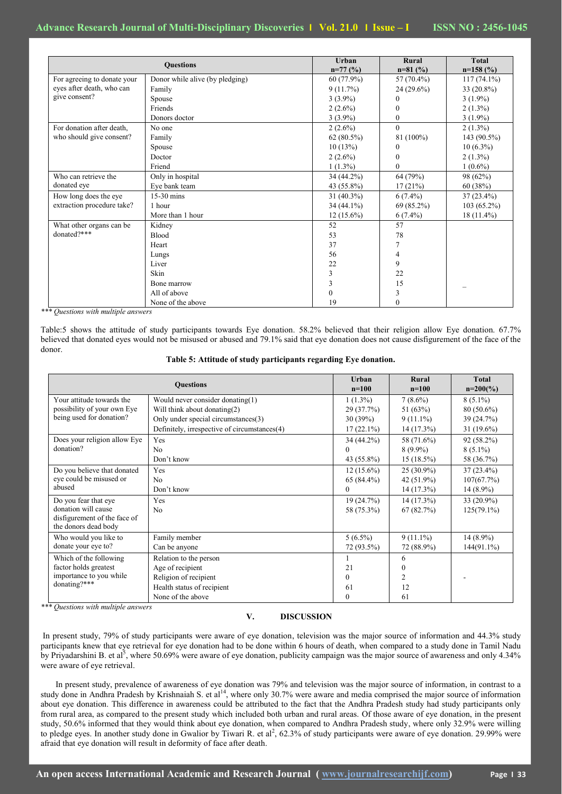| <b>Questions</b>            |                                 | Urban<br>$n=77($ %) | Rural<br>$n=81$ (%) | <b>Total</b><br>$n=158$ (%) |
|-----------------------------|---------------------------------|---------------------|---------------------|-----------------------------|
| For agreeing to donate your | Donor while alive (by pledging) | $60(77.9\%)$        | 57 $(70.4\%)$       | $117(74.1\%)$               |
| eyes after death, who can   | Family                          | 9(11.7%)            | $24(29.6\%)$        | 33 (20.8%)                  |
| give consent?               | Spouse                          | $3(3.9\%)$          | 0                   | $3(1.9\%)$                  |
|                             | Friends                         | $2(2.6\%)$          | $\mathbf{0}$        | $2(1.3\%)$                  |
|                             | Donors doctor                   | $3(3.9\%)$          | $\boldsymbol{0}$    | $3(1.9\%)$                  |
| For donation after death,   | No one                          | $2(2.6\%)$          | $\mathbf{0}$        | $2(1.3\%)$                  |
| who should give consent?    | Family                          | $62(80.5\%)$        | 81 (100%)           | 143 $(90.5\%)$              |
|                             | Spouse                          | 10(13%)             | $\mathbf{0}$        | $10(6.3\%)$                 |
|                             | Doctor                          | $2(2.6\%)$          | $\mathbf{0}$        | $2(1.3\%)$                  |
|                             | Friend                          | $1(1.3\%)$          | $\Omega$            | $1(0.6\%)$                  |
| Who can retrieve the        | Only in hospital                | $34(44.2\%)$        | 64 (79%)            | 98 (62%)                    |
| donated eye                 | Eye bank team                   | 43 (55.8%)          | 17(21%)             | 60(38%)                     |
| How long does the eye       | 15-30 mins                      | $31(40.3\%)$        | $6(7.4\%)$          | $37(23.4\%)$                |
| extraction procedure take?  | 1 hour                          | $34(44.1\%)$        | 69 (85.2%)          | $103(65.2\%)$               |
|                             | More than 1 hour                | $12(15.6\%)$        | $6(7.4\%)$          | $18(11.4\%)$                |
| What other organs can be.   | Kidney                          | 52                  | 57                  |                             |
| donated?***                 | <b>Blood</b>                    | 53                  | 78                  |                             |
|                             | Heart                           | 37                  | 7                   |                             |
|                             | Lungs                           | 56                  | 4                   |                             |
|                             | Liver                           | 22                  | 9                   |                             |
|                             | Skin                            | 3                   | 22                  |                             |
|                             | Bone marrow                     | 3                   | 15                  |                             |
|                             | All of above                    | 0                   | 3                   |                             |
|                             | None of the above               | 19                  | $\mathbf{0}$        |                             |

*\*\*\* Questions with multiple answers*

Table:5 shows the attitude of study participants towards Eye donation. 58.2% believed that their religion allow Eye donation. 67.7% believed that donated eyes would not be misused or abused and 79.1% said that eye donation does not cause disfigurement of the face of the donor.

| Table 5: Attitude of study participants regarding Eye donation. |
|-----------------------------------------------------------------|
|-----------------------------------------------------------------|

|                                                                                                     | <b>Ouestions</b>                                                                                                                                           | Urban<br>$n=100$                                   | Rural<br>$n=100$                                        | <b>Total</b><br>$n=200(%)$                                |
|-----------------------------------------------------------------------------------------------------|------------------------------------------------------------------------------------------------------------------------------------------------------------|----------------------------------------------------|---------------------------------------------------------|-----------------------------------------------------------|
| Your attitude towards the<br>possibility of your own Eye<br>being used for donation?                | Would never consider donating $(1)$<br>Will think about donating(2)<br>Only under special circumstances(3)<br>Definitely, irrespective of circumstances(4) | $1(1.3\%)$<br>29(37.7%)<br>30(39%)<br>$17(22.1\%)$ | $7(8.6\%)$<br>51 $(63%)$<br>$9(11.1\%)$<br>$14(17.3\%)$ | $8(5.1\%)$<br>$80(50.6\%)$<br>39 (24.7%)<br>31 $(19.6\%)$ |
| Does your religion allow Eye<br>donation?                                                           | Yes<br>No<br>Don't know                                                                                                                                    | $34(44.2\%)$<br>$\theta$<br>43 (55.8%)             | 58 (71.6%)<br>$8(9.9\%)$<br>$15(18.5\%)$                | $92(58.2\%)$<br>$8(5.1\%)$<br>58 (36.7%)                  |
| Do you believe that donated<br>eye could be misused or<br>abused                                    | Yes<br>No.<br>Don't know                                                                                                                                   | $12(15.6\%)$<br>$65(84.4\%)$<br>$\mathbf{0}$       | $25(30.9\%)$<br>42 (51.9%)<br>$14(17.3\%)$              | $37(23.4\%)$<br>107(67.7%)<br>$14(8.9\%)$                 |
| Do you fear that eye<br>donation will cause<br>disfigurement of the face of<br>the donors dead body | Yes<br>No.                                                                                                                                                 | 19(24.7%)<br>58 (75.3%)                            | 14 (17.3%)<br>67(82.7%)                                 | 33 (20.9%)<br>$125(79.1\%)$                               |
| Who would you like to<br>donate your eye to?                                                        | Family member<br>Can be anyone                                                                                                                             | $5(6.5\%)$<br>72 (93.5%)                           | $9(11.1\%)$<br>72 (88.9%)                               | $14(8.9\%)$<br>$144(91.1\%)$                              |
| Which of the following<br>factor holds greatest<br>importance to you while<br>donating?***          | Relation to the person<br>Age of recipient<br>Religion of recipient<br>Health status of recipient<br>None of the above                                     | 21<br>$\Omega$<br>61<br>$\mathbf{0}$               | 6<br>$\theta$<br>$\overline{c}$<br>12<br>61             |                                                           |

*\*\*\* Questions with multiple answers*

### **V. DISCUSSION**

In present study, 79% of study participants were aware of eye donation, television was the major source of information and 44.3% study participants knew that eye retrieval for eye donation had to be done within 6 hours of death, when compared to a study done in Tamil Nadu by Priyadarshini B. et al<sup>5</sup>, where 50.69% were aware of eye donation, publicity campaign was the major source of awareness and only 4.34% were aware of eye retrieval.

 In present study, prevalence of awareness of eye donation was 79% and television was the major source of information, in contrast to a study done in Andhra Pradesh by Krishnaiah S. et al<sup>14</sup>, where only 30.7% were aware and media comprised the major source of information about eye donation. This difference in awareness could be attributed to the fact that the Andhra Pradesh study had study participants only from rural area, as compared to the present study which included both urban and rural areas. Of those aware of eye donation, in the present study, 50.6% informed that they would think about eye donation, when compared to Andhra Pradesh study, where only 32.9% were willing to pledge eyes. In another study done in Gwalior by Tiwari R. et al<sup>2</sup>, 62.3% of study participants were aware of eye donation. 29.99% were afraid that eye donation will result in deformity of face after death.